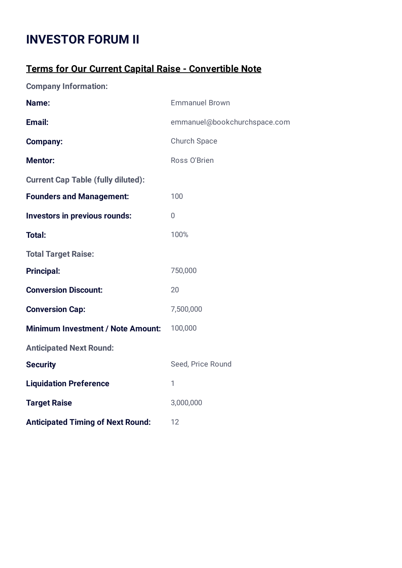## **INVESTOR FORUM II**

## **Terms for Our Current Capital Raise - Convertible Note**

**Company Information:**

| Name:                                     | <b>Emmanuel Brown</b>        |
|-------------------------------------------|------------------------------|
| Email:                                    | emmanuel@bookchurchspace.com |
| <b>Company:</b>                           | <b>Church Space</b>          |
| <b>Mentor:</b>                            | Ross O'Brien                 |
| <b>Current Cap Table (fully diluted):</b> |                              |
| <b>Founders and Management:</b>           | 100                          |
| Investors in previous rounds:             | $\overline{0}$               |
| <b>Total:</b>                             | 100%                         |
| <b>Total Target Raise:</b>                |                              |
| <b>Principal:</b>                         | 750,000                      |
| <b>Conversion Discount:</b>               | 20                           |
| <b>Conversion Cap:</b>                    | 7,500,000                    |
| <b>Minimum Investment / Note Amount:</b>  | 100,000                      |
| <b>Anticipated Next Round:</b>            |                              |
| <b>Security</b>                           | Seed, Price Round            |
| <b>Liquidation Preference</b>             | 1                            |
| <b>Target Raise</b>                       | 3,000,000                    |
| <b>Anticipated Timing of Next Round:</b>  | 12                           |